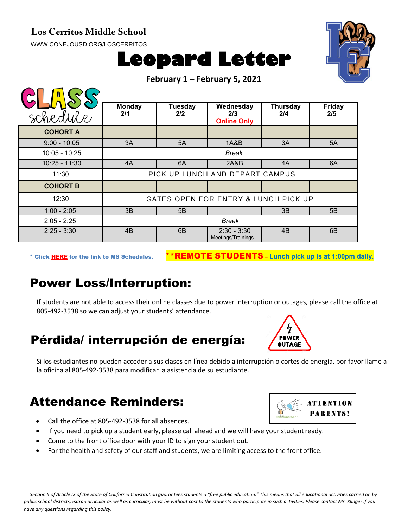#### **Los Cerritos Middle School**

[WWW.CONEJOUSD.ORG/LOSCERRITOS](http://www.conejousd.org/LOSCERRITOS)





**February 1 – February 5, 2021**

| schedule        | <b>Monday</b><br>2/1                 | <b>Tuesday</b><br>2/2 | Wednesday<br>2/3<br><b>Online Only</b> | <b>Thursday</b><br>2/4 | <b>Friday</b><br>2/5 |
|-----------------|--------------------------------------|-----------------------|----------------------------------------|------------------------|----------------------|
| <b>COHORT A</b> |                                      |                       |                                        |                        |                      |
| $9:00 - 10:05$  | 3A                                   | 5A                    | 1A&B                                   | 3A                     | 5A                   |
| 10:05 - 10:25   | Break                                |                       |                                        |                        |                      |
| $10:25 - 11:30$ | 4A                                   | 6A                    | 2A&B                                   | 4A                     | 6A                   |
| 11:30           | PICK UP LUNCH AND DEPART CAMPUS      |                       |                                        |                        |                      |
| <b>COHORT B</b> |                                      |                       |                                        |                        |                      |
| 12:30           | GATES OPEN FOR ENTRY & LUNCH PICK UP |                       |                                        |                        |                      |
| $1:00 - 2:05$   | 3B                                   | 5B                    |                                        | 3B                     | 5B                   |
| $2:05 - 2:25$   | <b>Break</b>                         |                       |                                        |                        |                      |
| $2:25 - 3:30$   | 4B                                   | 6B                    | $2:30 - 3:30$<br>Meetings/Trainings    | 4 <sub>B</sub>         | 6B                   |

\* Click [HERE](https://www.conejousd.org/Portals/0/Middle%20School%20Monthly%20Calendar%20_FNLl.pdf?ver=2020-11-04-105638-860) for the link to MS Schedules. \*\*REMOTE STUDENTS – **Lunch pick up is at 1:00pm daily.**

# Power Loss/Interruption:

If students are not able to access their online classes due to power interruption or outages, please call the office at 805-492-3538 so we can adjust your students' attendance.

# Pérdida/ interrupción de energía:

Si los estudiantes no pueden acceder a sus clases en línea debido a interrupción o cortes de energía, por favor llame a la oficina al 805-492-3538 para modificar la asistencia de su estudiante.

### Attendance Reminders:

- Call the office at 805-492-3538 for all absences.
- If you need to pick up a student early, please call ahead and we will have your student ready.
- Come to the front office door with your ID to sign your student out.
- For the health and safety of our staff and students, we are limiting access to the front office.

*Section 5 of Article IX of the State of California Constitution guarantees students a "free public education." This means that all educational activities carried on by public school districts, extra-curricular as well as curricular, must be without cost to the students who participate in such activities. Please contact Mr. Klinger if you have any questions regarding this policy.*



**ATTENTION**